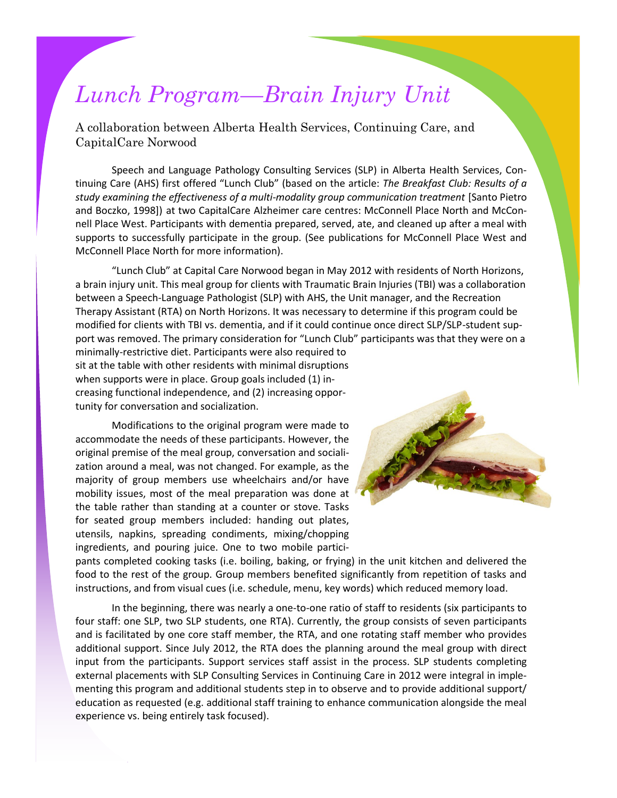## *Lunch Program—Brain Injury Unit*

A collaboration between Alberta Health Services, Continuing Care, and CapitalCare Norwood

Speech and Language Pathology Consulting Services (SLP) in Alberta Health Services, Continuing Care (AHS) first offered "Lunch Club" (based on the article: *The Breakfast Club: Results of a study examining the effectiveness of a multi-modality group communication treatment* [Santo Pietro and Boczko, 1998]) at two CapitalCare Alzheimer care centres: McConnell Place North and McConnell Place West. Participants with dementia prepared, served, ate, and cleaned up after a meal with supports to successfully participate in the group. (See publications for McConnell Place West and McConnell Place North for more information).

"Lunch Club" at Capital Care Norwood began in May 2012 with residents of North Horizons, a brain injury unit. This meal group for clients with Traumatic Brain Injuries (TBI) was a collaboration between a Speech-Language Pathologist (SLP) with AHS, the Unit manager, and the Recreation Therapy Assistant (RTA) on North Horizons. It was necessary to determine if this program could be modified for clients with TBI vs. dementia, and if it could continue once direct SLP/SLP-student support was removed. The primary consideration for "Lunch Club" participants was that they were on a

minimally-restrictive diet. Participants were also required to sit at the table with other residents with minimal disruptions when supports were in place. Group goals included (1) increasing functional independence, and (2) increasing opportunity for conversation and socialization.

Modifications to the original program were made to accommodate the needs of these participants. However, the original premise of the meal group, conversation and socialization around a meal, was not changed. For example, as the majority of group members use wheelchairs and/or have mobility issues, most of the meal preparation was done at the table rather than standing at a counter or stove. Tasks for seated group members included: handing out plates, utensils, napkins, spreading condiments, mixing/chopping ingredients, and pouring juice. One to two mobile partici-



pants completed cooking tasks (i.e. boiling, baking, or frying) in the unit kitchen and delivered the food to the rest of the group. Group members benefited significantly from repetition of tasks and instructions, and from visual cues (i.e. schedule, menu, key words) which reduced memory load.

In the beginning, there was nearly a one-to-one ratio of staff to residents (six participants to four staff: one SLP, two SLP students, one RTA). Currently, the group consists of seven participants and is facilitated by one core staff member, the RTA, and one rotating staff member who provides additional support. Since July 2012, the RTA does the planning around the meal group with direct input from the participants. Support services staff assist in the process. SLP students completing external placements with SLP Consulting Services in Continuing Care in 2012 were integral in implementing this program and additional students step in to observe and to provide additional support/ education as requested (e.g. additional staff training to enhance communication alongside the meal experience vs. being entirely task focused).